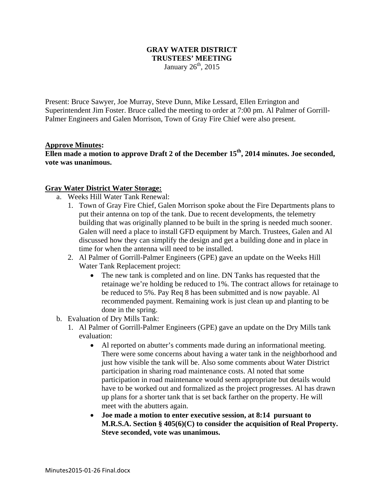## **GRAY WATER DISTRICT TRUSTEES' MEETING**  January  $26<sup>th</sup>$ , 2015

Present: Bruce Sawyer, Joe Murray, Steve Dunn, Mike Lessard, Ellen Errington and Superintendent Jim Foster. Bruce called the meeting to order at 7:00 pm. Al Palmer of Gorrill-Palmer Engineers and Galen Morrison, Town of Gray Fire Chief were also present.

## **Approve Minutes:**

Ellen made a motion to approve Draft 2 of the December 15<sup>th</sup>, 2014 minutes. Joe seconded, **vote was unanimous.** 

## **Gray Water District Water Storage:**

- a. Weeks Hill Water Tank Renewal:
	- 1. Town of Gray Fire Chief, Galen Morrison spoke about the Fire Departments plans to put their antenna on top of the tank. Due to recent developments, the telemetry building that was originally planned to be built in the spring is needed much sooner. Galen will need a place to install GFD equipment by March. Trustees, Galen and Al discussed how they can simplify the design and get a building done and in place in time for when the antenna will need to be installed.
	- 2. Al Palmer of Gorrill-Palmer Engineers (GPE) gave an update on the Weeks Hill Water Tank Replacement project:
		- The new tank is completed and on line. DN Tanks has requested that the retainage we're holding be reduced to 1%. The contract allows for retainage to be reduced to 5%. Pay Req 8 has been submitted and is now payable. Al recommended payment. Remaining work is just clean up and planting to be done in the spring.
- b. Evaluation of Dry Mills Tank:
	- 1. Al Palmer of Gorrill-Palmer Engineers (GPE) gave an update on the Dry Mills tank evaluation:
		- Al reported on abutter's comments made during an informational meeting. There were some concerns about having a water tank in the neighborhood and just how visible the tank will be. Also some comments about Water District participation in sharing road maintenance costs. Al noted that some participation in road maintenance would seem appropriate but details would have to be worked out and formalized as the project progresses. Al has drawn up plans for a shorter tank that is set back farther on the property. He will meet with the abutters again.
		- **Joe made a motion to enter executive session, at 8:14 pursuant to M.R.S.A. Section § 405(6)(C) to consider the acquisition of Real Property. Steve seconded, vote was unanimous.**